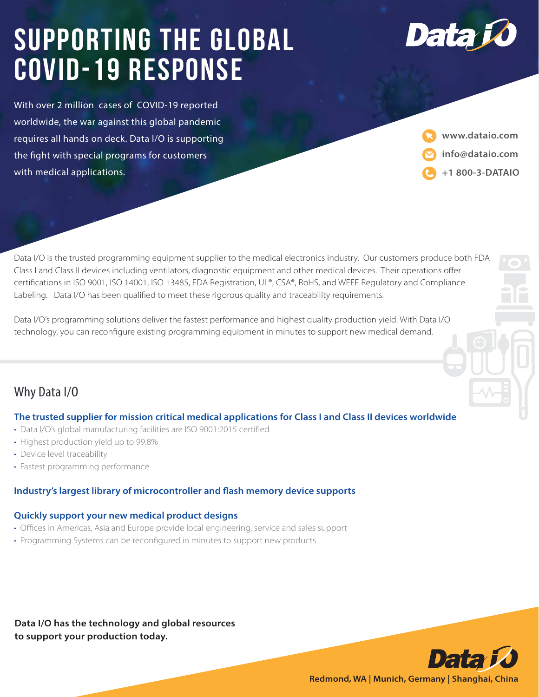# **Supporting the global COVID-19 Response**

With over 2 million cases of COVID-19 reported worldwide, the war against this global pandemic requires all hands on deck. Data I/O is supporting the fight with special programs for customers with medical applications.

**www.dataio.com info@dataio.com +1 800-3-DATAIO**

**DATA I/O Corporation** 

Data

Data I/O is the trusted programming equipment supplier to the medical electronics industry. Our customers produce both FDA Class I and Class II devices including ventilators, diagnostic equipment and other medical devices. Their operations offer certifications in ISO 9001, ISO 14001, ISO 13485, FDA Registration, UL®, CSA®, RoHS, and WEEE Regulatory and Compliance Labeling. Data I/O has been qualified to meet these rigorous quality and traceability requirements.

Data I/O's programming solutions deliver the fastest performance and highest quality production yield. With Data I/O technology, you can reconfigure existing programming equipment in minutes to support new medical demand.



## **The trusted supplier for mission critical medical applications for Class I and Class II devices worldwide**

- Data I/O's global manufacturing facilities are ISO 9001:2015 certified
- Highest production yield up to 99.8%
- Device level traceability
- Fastest programming performance

## **Industry's largest library of microcontroller and flash memory device supports**

#### **Quickly support your new medical product designs**

- Offices in Americas, Asia and Europe provide local engineering, service and sales support
- Programming Systems can be reconfigured in minutes to support new products

**Data I/O has the technology and global resources to support your production today.**



**Redmond, WA | Munich, Germany | Shanghai, China**